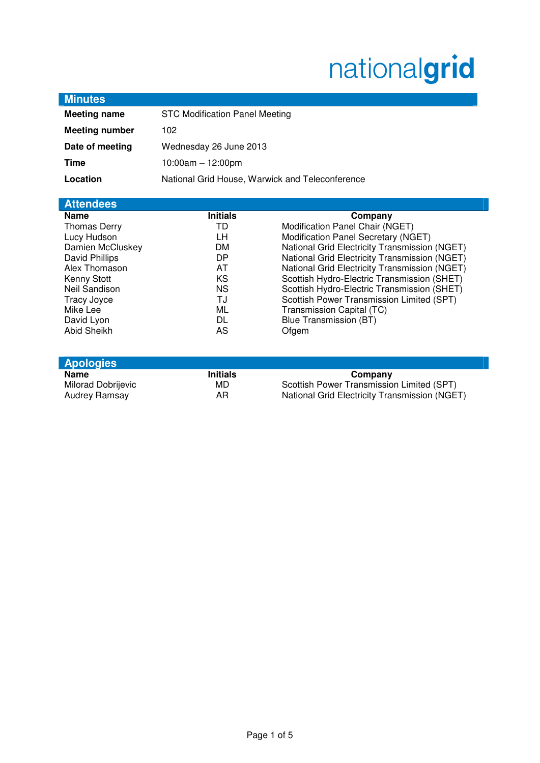# nationalgrid

| <b>Minutes</b>                   |                                                 |                                               |
|----------------------------------|-------------------------------------------------|-----------------------------------------------|
| <b>Meeting name</b>              | <b>STC Modification Panel Meeting</b>           |                                               |
| <b>Meeting number</b>            | 102                                             |                                               |
| Date of meeting                  | Wednesday 26 June 2013                          |                                               |
| Time                             | $10:00am - 12:00pm$                             |                                               |
| Location                         | National Grid House, Warwick and Teleconference |                                               |
|                                  |                                                 |                                               |
| <b>Attendees</b>                 |                                                 |                                               |
| <b>Name</b>                      | <b>Initials</b>                                 | Company                                       |
| <b>Thomas Derry</b>              | TD                                              | Modification Panel Chair (NGET)               |
| Lucy Hudson                      | LН                                              | Modification Panel Secretary (NGET)           |
| Damien McCluskey                 | DM.                                             | National Grid Electricity Transmission (NGET) |
| David Phillips                   | DP                                              | National Grid Electricity Transmission (NGET) |
| Alex Thomason                    | AT                                              | National Grid Electricity Transmission (NGET) |
| Kenny Stott                      | KS                                              | Scottish Hydro-Electric Transmission (SHET)   |
| Neil Sandison                    | <b>NS</b>                                       | Scottish Hydro-Electric Transmission (SHET)   |
| <b>Tracy Joyce</b>               | TJ                                              | Scottish Power Transmission Limited (SPT)     |
| Mike Lee                         | ML<br>DL.                                       | Transmission Capital (TC)                     |
| David Lyon<br><b>Abid Sheikh</b> | AS                                              | Blue Transmission (BT)<br>Ofgem               |
|                                  |                                                 |                                               |
|                                  |                                                 |                                               |
| <b>Apologies</b>                 |                                                 |                                               |
| <b>Name</b>                      | <b>Initials</b>                                 | Company                                       |
| Milorad Dobrijevic               | MD                                              | Scottish Power Transmission Limited (SPT)     |
| Audrey Ramsay                    | AR                                              | National Grid Electricity Transmission (NGET) |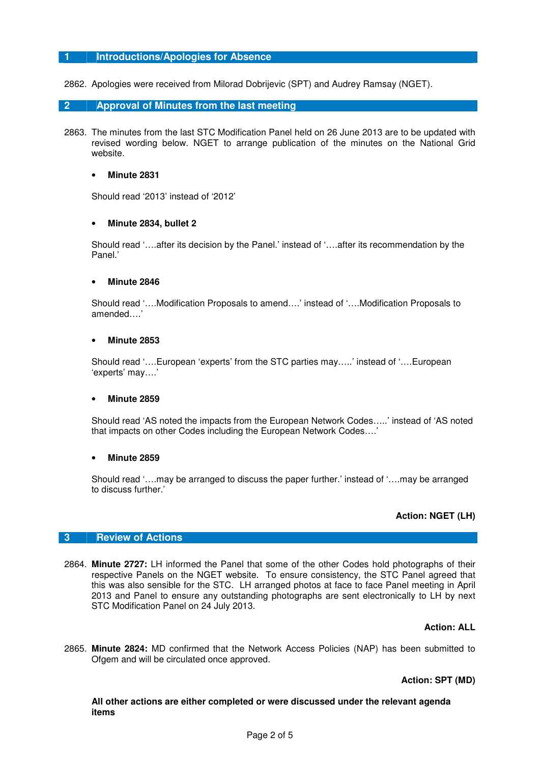# **1 Introductions/Apologies for Absence**

2862. Apologies were received from Milorad Dobrijevic (SPT) and Audrey Ramsay (NGET).

## **2 Approval of Minutes from the last meeting**

2863. The minutes from the last STC Modification Panel held on 26 June 2013 are to be updated with revised wording below. NGET to arrange publication of the minutes on the National Grid website.

#### • **Minute 2831**

Should read '2013' instead of '2012'

#### • **Minute 2834, bullet 2**

Should read '….after its decision by the Panel.' instead of '….after its recommendation by the Panel<sup>'</sup>

#### • **Minute 2846**

Should read '….Modification Proposals to amend….' instead of '….Modification Proposals to amended….'

#### • **Minute 2853**

Should read '….European 'experts' from the STC parties may…..' instead of '….European 'experts' may….'

#### • **Minute 2859**

Should read 'AS noted the impacts from the European Network Codes…..' instead of 'AS noted that impacts on other Codes including the European Network Codes….'

#### • **Minute 2859**

Should read '….may be arranged to discuss the paper further.' instead of '….may be arranged to discuss further.'

# **Action: NGET (LH)**

#### **3 Review of Actions**

2864. **Minute 2727:** LH informed the Panel that some of the other Codes hold photographs of their respective Panels on the NGET website. To ensure consistency, the STC Panel agreed that this was also sensible for the STC. LH arranged photos at face to face Panel meeting in April 2013 and Panel to ensure any outstanding photographs are sent electronically to LH by next STC Modification Panel on 24 July 2013.

#### **Action: ALL**

2865. **Minute 2824:** MD confirmed that the Network Access Policies (NAP) has been submitted to Ofgem and will be circulated once approved.

#### **Action: SPT (MD)**

**All other actions are either completed or were discussed under the relevant agenda items**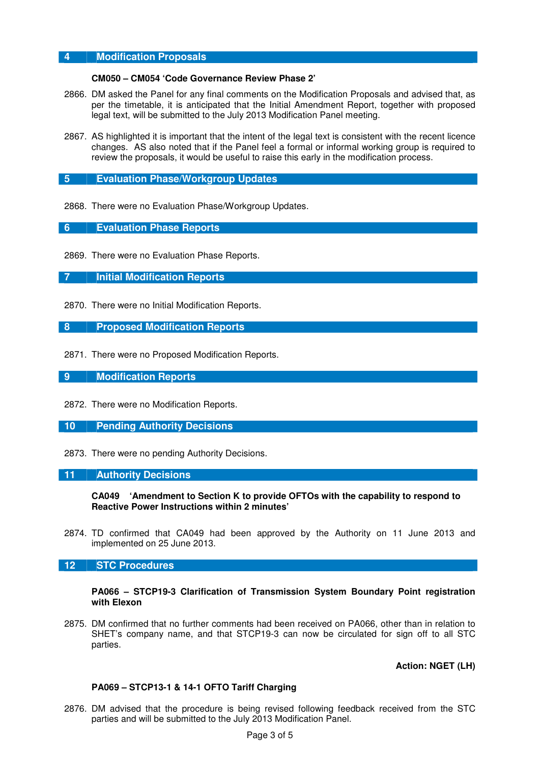# **4 Modification Proposals**

#### **CM050 – CM054 'Code Governance Review Phase 2'**

- 2866. DM asked the Panel for any final comments on the Modification Proposals and advised that, as per the timetable, it is anticipated that the Initial Amendment Report, together with proposed legal text, will be submitted to the July 2013 Modification Panel meeting.
- 2867. AS highlighted it is important that the intent of the legal text is consistent with the recent licence changes. AS also noted that if the Panel feel a formal or informal working group is required to review the proposals, it would be useful to raise this early in the modification process.

## **5 Evaluation Phase/Workgroup Updates**

2868. There were no Evaluation Phase/Workgroup Updates.

## **6 Evaluation Phase Reports**

2869. There were no Evaluation Phase Reports.

**7 Initial Modification Reports** 

2870. There were no Initial Modification Reports.

## **8 Proposed Modification Reports**

2871. There were no Proposed Modification Reports.

**9 Modification Reports** 

- 2872. There were no Modification Reports.
- **10 Pending Authority Decisions**
- 2873. There were no pending Authority Decisions.

#### **11 Authority Decisions**

**CA049 'Amendment to Section K to provide OFTOs with the capability to respond to Reactive Power Instructions within 2 minutes'** 

2874. TD confirmed that CA049 had been approved by the Authority on 11 June 2013 and implemented on 25 June 2013.

# **12 STC Procedures**

#### **PA066 – STCP19-3 Clarification of Transmission System Boundary Point registration with Elexon**

2875. DM confirmed that no further comments had been received on PA066, other than in relation to SHET's company name, and that STCP19-3 can now be circulated for sign off to all STC parties.

**Action: NGET (LH)** 

#### **PA069 – STCP13-1 & 14-1 OFTO Tariff Charging**

2876. DM advised that the procedure is being revised following feedback received from the STC parties and will be submitted to the July 2013 Modification Panel.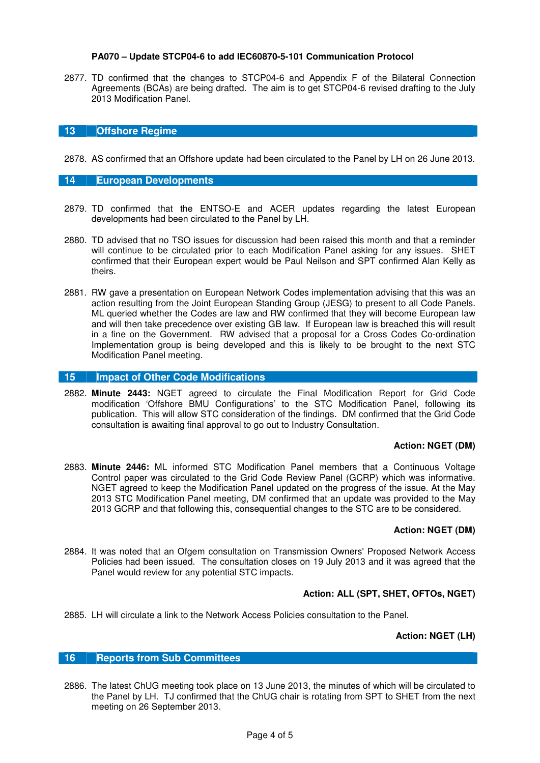# **PA070 – Update STCP04-6 to add IEC60870-5-101 Communication Protocol**

2877. TD confirmed that the changes to STCP04-6 and Appendix F of the Bilateral Connection Agreements (BCAs) are being drafted. The aim is to get STCP04-6 revised drafting to the July 2013 Modification Panel.

## **13 Offshore Regime**

2878. AS confirmed that an Offshore update had been circulated to the Panel by LH on 26 June 2013.

## **14 European Developments**

- 2879. TD confirmed that the ENTSO-E and ACER updates regarding the latest European developments had been circulated to the Panel by LH.
- 2880. TD advised that no TSO issues for discussion had been raised this month and that a reminder will continue to be circulated prior to each Modification Panel asking for any issues. SHET confirmed that their European expert would be Paul Neilson and SPT confirmed Alan Kelly as theirs.
- 2881. RW gave a presentation on European Network Codes implementation advising that this was an action resulting from the Joint European Standing Group (JESG) to present to all Code Panels. ML queried whether the Codes are law and RW confirmed that they will become European law and will then take precedence over existing GB law. If European law is breached this will result in a fine on the Government. RW advised that a proposal for a Cross Codes Co-ordination Implementation group is being developed and this is likely to be brought to the next STC Modification Panel meeting.

## **15 Impact of Other Code Modifications**

2882. **Minute 2443:** NGET agreed to circulate the Final Modification Report for Grid Code modification 'Offshore BMU Configurations' to the STC Modification Panel, following its publication. This will allow STC consideration of the findings. DM confirmed that the Grid Code consultation is awaiting final approval to go out to Industry Consultation.

#### **Action: NGET (DM)**

2883. **Minute 2446:** ML informed STC Modification Panel members that a Continuous Voltage Control paper was circulated to the Grid Code Review Panel (GCRP) which was informative. NGET agreed to keep the Modification Panel updated on the progress of the issue. At the May 2013 STC Modification Panel meeting, DM confirmed that an update was provided to the May 2013 GCRP and that following this, consequential changes to the STC are to be considered.

# **Action: NGET (DM)**

2884. It was noted that an Ofgem consultation on Transmission Owners' Proposed Network Access Policies had been issued. The consultation closes on 19 July 2013 and it was agreed that the Panel would review for any potential STC impacts.

# **Action: ALL (SPT, SHET, OFTOs, NGET)**

2885. LH will circulate a link to the Network Access Policies consultation to the Panel.

# **Action: NGET (LH)**

# **16 Reports from Sub Committees**

2886. The latest ChUG meeting took place on 13 June 2013, the minutes of which will be circulated to the Panel by LH. TJ confirmed that the ChUG chair is rotating from SPT to SHET from the next meeting on 26 September 2013.